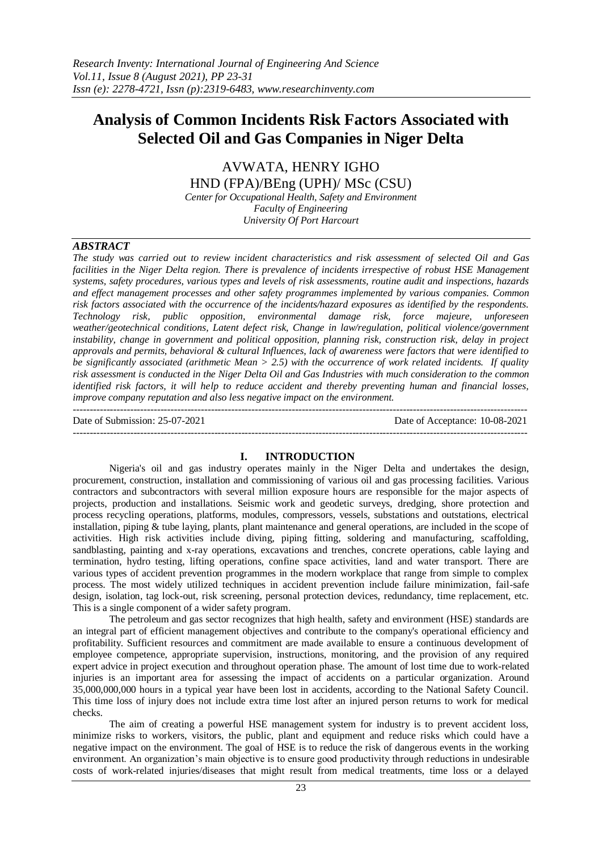# **Analysis of Common Incidents Risk Factors Associated with Selected Oil and Gas Companies in Niger Delta**

AVWATA, HENRY IGHO HND (FPA)/BEng (UPH)/ MSc (CSU)

*Center for Occupational Health, Safety and Environment Faculty of Engineering University Of Port Harcourt*

#### *ABSTRACT*

*The study was carried out to review incident characteristics and risk assessment of selected Oil and Gas facilities in the Niger Delta region. There is prevalence of incidents irrespective of robust HSE Management systems, safety procedures, various types and levels of risk assessments, routine audit and inspections, hazards and effect management processes and other safety programmes implemented by various companies. Common risk factors associated with the occurrence of the incidents/hazard exposures as identified by the respondents. Technology risk, public opposition, environmental damage risk, force majeure, unforeseen weather/geotechnical conditions, Latent defect risk, Change in law/regulation, political violence/government instability, change in government and political opposition, planning risk, construction risk, delay in project approvals and permits, behavioral & cultural Influences, lack of awareness were factors that were identified to be significantly associated (arithmetic Mean > 2.5) with the occurrence of work related incidents. If quality risk assessment is conducted in the Niger Delta Oil and Gas Industries with much consideration to the common identified risk factors, it will help to reduce accident and thereby preventing human and financial losses, improve company reputation and also less negative impact on the environment.*

--------------------------------------------------------------------------------------------------------------------------------------- Date of Submission: 25-07-2021 Date of Acceptance: 10-08-2021 ---------------------------------------------------------------------------------------------------------------------------------------

#### **I. INTRODUCTION**

Nigeria's oil and gas industry operates mainly in the Niger Delta and undertakes the design, procurement, construction, installation and commissioning of various oil and gas processing facilities. Various contractors and subcontractors with several million exposure hours are responsible for the major aspects of projects, production and installations. Seismic work and geodetic surveys, dredging, shore protection and process recycling operations, platforms, modules, compressors, vessels, substations and outstations, electrical installation, piping & tube laying, plants, plant maintenance and general operations, are included in the scope of activities. High risk activities include diving, piping fitting, soldering and manufacturing, scaffolding, sandblasting, painting and x-ray operations, excavations and trenches, concrete operations, cable laying and termination, hydro testing, lifting operations, confine space activities, land and water transport. There are various types of accident prevention programmes in the modern workplace that range from simple to complex process. The most widely utilized techniques in accident prevention include failure minimization, fail-safe design, isolation, tag lock-out, risk screening, personal protection devices, redundancy, time replacement, etc. This is a single component of a wider safety program.

The petroleum and gas sector recognizes that high health, safety and environment (HSE) standards are an integral part of efficient management objectives and contribute to the company's operational efficiency and profitability. Sufficient resources and commitment are made available to ensure a continuous development of employee competence, appropriate supervision, instructions, monitoring, and the provision of any required expert advice in project execution and throughout operation phase. The amount of lost time due to work-related injuries is an important area for assessing the impact of accidents on a particular organization. Around 35,000,000,000 hours in a typical year have been lost in accidents, according to the National Safety Council. This time loss of injury does not include extra time lost after an injured person returns to work for medical checks.

The aim of creating a powerful HSE management system for industry is to prevent accident loss, minimize risks to workers, visitors, the public, plant and equipment and reduce risks which could have a negative impact on the environment. The goal of HSE is to reduce the risk of dangerous events in the working environment. An organization's main objective is to ensure good productivity through reductions in undesirable costs of work-related injuries/diseases that might result from medical treatments, time loss or a delayed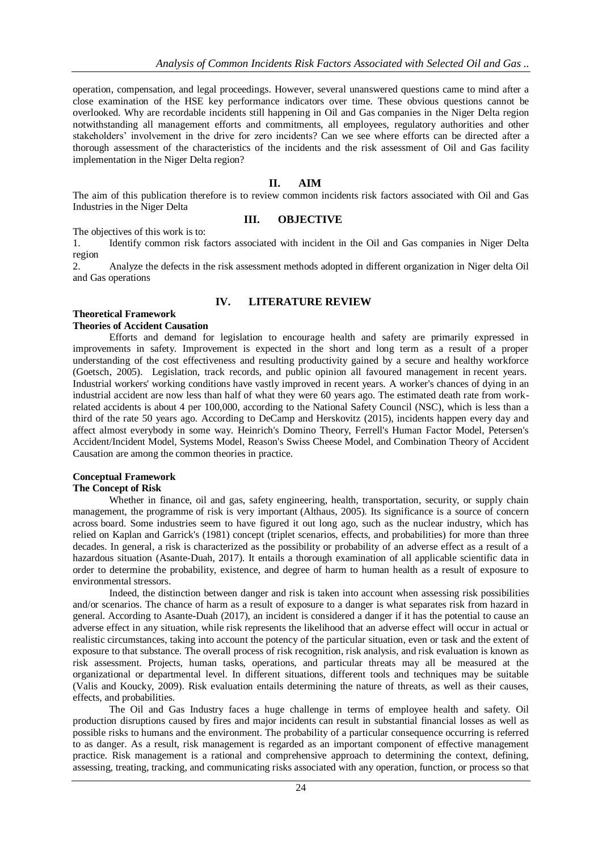operation, compensation, and legal proceedings. However, several unanswered questions came to mind after a close examination of the HSE key performance indicators over time. These obvious questions cannot be overlooked. Why are recordable incidents still happening in Oil and Gas companies in the Niger Delta region notwithstanding all management efforts and commitments, all employees, regulatory authorities and other stakeholders' involvement in the drive for zero incidents? Can we see where efforts can be directed after a thorough assessment of the characteristics of the incidents and the risk assessment of Oil and Gas facility implementation in the Niger Delta region?

#### **II. AIM**

**III. OBJECTIVE**

The aim of this publication therefore is to review common incidents risk factors associated with Oil and Gas Industries in the Niger Delta

The objectives of this work is to:

1. Identify common risk factors associated with incident in the Oil and Gas companies in Niger Delta region

2. Analyze the defects in the risk assessment methods adopted in different organization in Niger delta Oil and Gas operations

### **IV. LITERATURE REVIEW**

#### **Theoretical Framework**

#### **Theories of Accident Causation**

Efforts and demand for legislation to encourage health and safety are primarily expressed in improvements in safety. Improvement is expected in the short and long term as a result of a proper understanding of the cost effectiveness and resulting productivity gained by a secure and healthy workforce (Goetsch, 2005). Legislation, track records, and public opinion all favoured management in recent years. Industrial workers' working conditions have vastly improved in recent years. A worker's chances of dying in an industrial accident are now less than half of what they were 60 years ago. The estimated death rate from workrelated accidents is about 4 per 100,000, according to the National Safety Council (NSC), which is less than a third of the rate 50 years ago. According to DeCamp and Herskovitz (2015), incidents happen every day and affect almost everybody in some way. Heinrich's Domino Theory, Ferrell's Human Factor Model, Petersen's Accident/Incident Model, Systems Model, Reason's Swiss Cheese Model, and Combination Theory of Accident Causation are among the common theories in practice.

# **Conceptual Framework**

#### **The Concept of Risk**

Whether in finance, oil and gas, safety engineering, health, transportation, security, or supply chain management, the programme of risk is very important (Althaus, 2005). Its significance is a source of concern across board. Some industries seem to have figured it out long ago, such as the nuclear industry, which has relied on Kaplan and Garrick's (1981) concept (triplet scenarios, effects, and probabilities) for more than three decades. In general, a risk is characterized as the possibility or probability of an adverse effect as a result of a hazardous situation (Asante-Duah, 2017). It entails a thorough examination of all applicable scientific data in order to determine the probability, existence, and degree of harm to human health as a result of exposure to environmental stressors.

Indeed, the distinction between danger and risk is taken into account when assessing risk possibilities and/or scenarios. The chance of harm as a result of exposure to a danger is what separates risk from hazard in general. According to Asante-Duah (2017), an incident is considered a danger if it has the potential to cause an adverse effect in any situation, while risk represents the likelihood that an adverse effect will occur in actual or realistic circumstances, taking into account the potency of the particular situation, even or task and the extent of exposure to that substance. The overall process of risk recognition, risk analysis, and risk evaluation is known as risk assessment. Projects, human tasks, operations, and particular threats may all be measured at the organizational or departmental level. In different situations, different tools and techniques may be suitable (Valis and Koucky, 2009). Risk evaluation entails determining the nature of threats, as well as their causes, effects, and probabilities.

The Oil and Gas Industry faces a huge challenge in terms of employee health and safety. Oil production disruptions caused by fires and major incidents can result in substantial financial losses as well as possible risks to humans and the environment. The probability of a particular consequence occurring is referred to as danger. As a result, risk management is regarded as an important component of effective management practice. Risk management is a rational and comprehensive approach to determining the context, defining, assessing, treating, tracking, and communicating risks associated with any operation, function, or process so that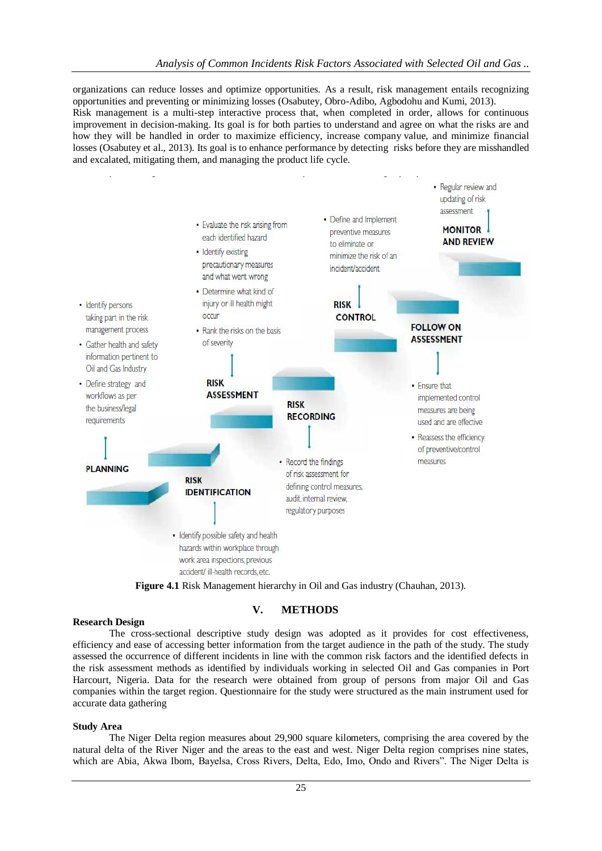organizations can reduce losses and optimize opportunities. As a result, risk management entails recognizing opportunities and preventing or minimizing losses (Osabutey, Obro-Adibo, Agbodohu and Kumi, 2013). Risk management is a multi-step interactive process that, when completed in order, allows for continuous improvement in decision-making. Its goal is for both parties to understand and agree on what the risks are and how they will be handled in order to maximize efficiency, increase company value, and minimize financial losses (Osabutey et al., 2013). Its goal is to enhance performance by detecting risks before they are misshandled and excalated, mitigating them, and managing the product life cycle.





#### **V. METHODS**

#### **Research Design**

The cross-sectional descriptive study design was adopted as it provides for cost effectiveness, efficiency and ease of accessing better information from the target audience in the path of the study. The study assessed the occurrence of different incidents in line with the common risk factors and the identified defects in the risk assessment methods as identified by individuals working in selected Oil and Gas companies in Port Harcourt, Nigeria. Data for the research were obtained from group of persons from major Oil and Gas companies within the target region. Questionnaire for the study were structured as the main instrument used for accurate data gathering

#### **Study Area**

The Niger Delta region measures about 29,900 square kilometers, comprising the area covered by the natural delta of the River Niger and the areas to the east and west. Niger Delta region comprises nine states, which are Abia, Akwa Ibom, Bayelsa, Cross Rivers, Delta, Edo, Imo, Ondo and Rivers". The Niger Delta is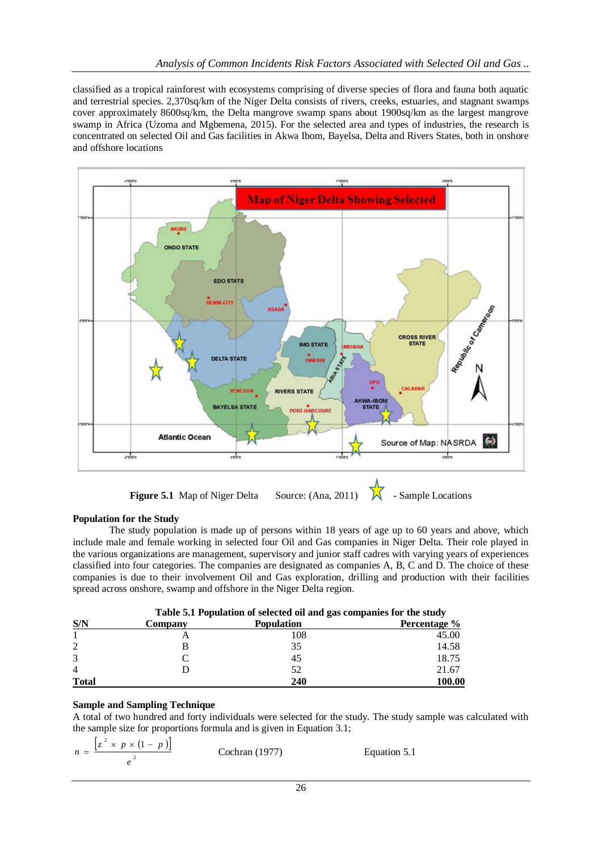classified as a tropical rainforest with ecosystems comprising of diverse species of flora and fauna both aquatic and terrestrial species. 2,370sq/km of the Niger Delta consists of rivers, creeks, estuaries, and stagnant swamps cover approximately 8600sq/km, the Delta mangrove swamp spans about 1900sq/km as the largest mangrove swamp in Africa (Uzoma and Mgbemena, 2015). For the selected area and types of industries, the research is concentrated on selected Oil and Gas facilities in Akwa Ibom, Bayelsa, Delta and Rivers States, both in onshore and offshore locations



**Figure 5.1** Map of Niger Delta Source: (Ana, 2011)  $\mathcal{N}$  - Sample Locations

## **Population for the Study**

The study population is made up of persons within 18 years of age up to 60 years and above, which include male and female working in selected four Oil and Gas companies in Niger Delta. Their role played in the various organizations are management, supervisory and junior staff cadres with varying years of experiences classified into four categories. The companies are designated as companies A, B, C and D. The choice of these companies is due to their involvement Oil and Gas exploration, drilling and production with their facilities spread across onshore, swamp and offshore in the Niger Delta region.

|              |         | Tuble off I opinion of belected on any gas companies for the state, |                     |  |  |  |
|--------------|---------|---------------------------------------------------------------------|---------------------|--|--|--|
| S/N          | Company | <b>Population</b>                                                   | <b>Percentage</b> % |  |  |  |
|              |         | 108                                                                 | 45.00               |  |  |  |
| 2            |         | 35                                                                  | 14.58               |  |  |  |
| 3            |         | 45                                                                  | 18.75               |  |  |  |
| 4            |         | 52                                                                  | 21.67               |  |  |  |
| <b>Total</b> |         | 240                                                                 | 100.00              |  |  |  |

|  |  | Table 5.1 Population of selected oil and gas companies for the study |  |
|--|--|----------------------------------------------------------------------|--|
|  |  |                                                                      |  |

## **Sample and Sampling Technique**

A total of two hundred and forty individuals were selected for the study. The study sample was calculated with the sample size for proportions formula and is given in Equation 3.1;

$$
n = \frac{\left[z^2 \times p \times (1-p)\right]}{e^2}
$$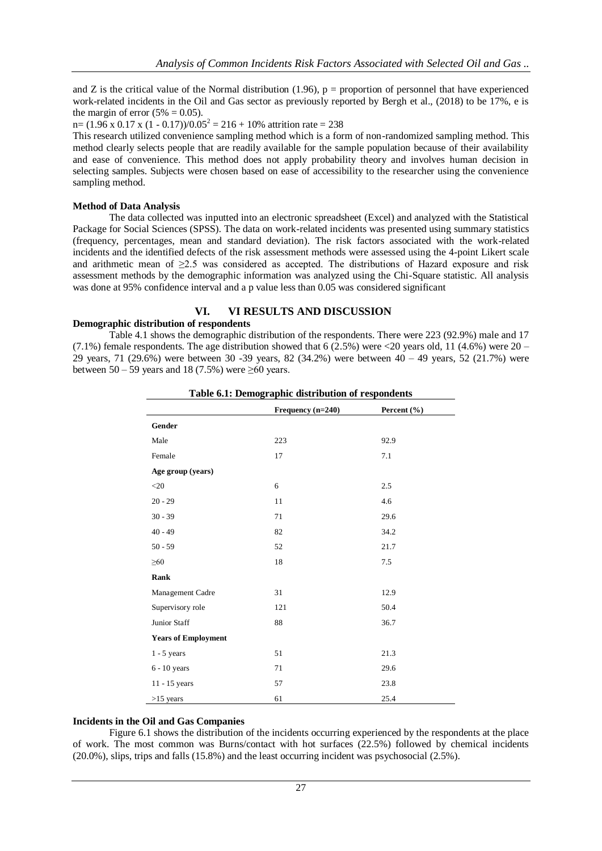and Z is the critical value of the Normal distribution  $(1.96)$ , p = proportion of personnel that have experienced work-related incidents in the Oil and Gas sector as previously reported by Bergh et al., (2018) to be 17%, e is the margin of error  $(5\% = 0.05)$ .

n =  $(1.96 \times 0.17 \times (1 - 0.17))/0.05^2 = 216 + 10\%$  attrition rate = 238

This research utilized convenience sampling method which is a form of non-randomized sampling method. This method clearly selects people that are readily available for the sample population because of their availability and ease of convenience. This method does not apply probability theory and involves human decision in selecting samples. Subjects were chosen based on ease of accessibility to the researcher using the convenience sampling method.

#### **Method of Data Analysis**

The data collected was inputted into an electronic spreadsheet (Excel) and analyzed with the Statistical Package for Social Sciences (SPSS). The data on work-related incidents was presented using summary statistics (frequency, percentages, mean and standard deviation). The risk factors associated with the work-related incidents and the identified defects of the risk assessment methods were assessed using the 4-point Likert scale and arithmetic mean of ≥2.5 was considered as accepted. The distributions of Hazard exposure and risk assessment methods by the demographic information was analyzed using the Chi-Square statistic. All analysis was done at 95% confidence interval and a p value less than 0.05 was considered significant

### **VI. VI RESULTS AND DISCUSSION**

#### **Demographic distribution of respondents**

Table 4.1 shows the demographic distribution of the respondents. There were 223 (92.9%) male and 17 (7.1%) female respondents. The age distribution showed that 6 (2.5%) were <20 years old, 11 (4.6%) were  $20 -$ 29 years, 71 (29.6%) were between 30 -39 years, 82 (34.2%) were between 40 – 49 years, 52 (21.7%) were between  $50 - 59$  years and 18 (7.5%) were  $\geq 60$  years.

|                            | Frequency $(n=240)$ | Percent $(\% )$ |  |
|----------------------------|---------------------|-----------------|--|
| Gender                     |                     |                 |  |
| Male                       | 223                 | 92.9            |  |
| Female                     | 17                  | 7.1             |  |
| Age group (years)          |                     |                 |  |
| $<$ 20                     | 6                   | 2.5             |  |
| $20 - 29$                  | 11                  | 4.6             |  |
| $30 - 39$                  | 71                  | 29.6            |  |
| $40 - 49$                  | 82                  | 34.2            |  |
| $50 - 59$                  | 52                  | 21.7            |  |
| $\geq 60$                  | 18                  | 7.5             |  |
| Rank                       |                     |                 |  |
| Management Cadre           | 31                  | 12.9            |  |
| Supervisory role           | 121                 | 50.4            |  |
| Junior Staff               | 88                  | 36.7            |  |
| <b>Years of Employment</b> |                     |                 |  |
| $1 - 5$ years              | 51                  | 21.3            |  |
| $6 - 10$ years             | 71                  | 29.6            |  |
| 11 - 15 years              | 57                  | 23.8            |  |
| $>15$ years                | 61                  | 25.4            |  |

#### **Table 6.1: Demographic distribution of respondents**

#### **Incidents in the Oil and Gas Companies**

Figure 6.1 shows the distribution of the incidents occurring experienced by the respondents at the place of work. The most common was Burns/contact with hot surfaces (22.5%) followed by chemical incidents (20.0%), slips, trips and falls (15.8%) and the least occurring incident was psychosocial (2.5%).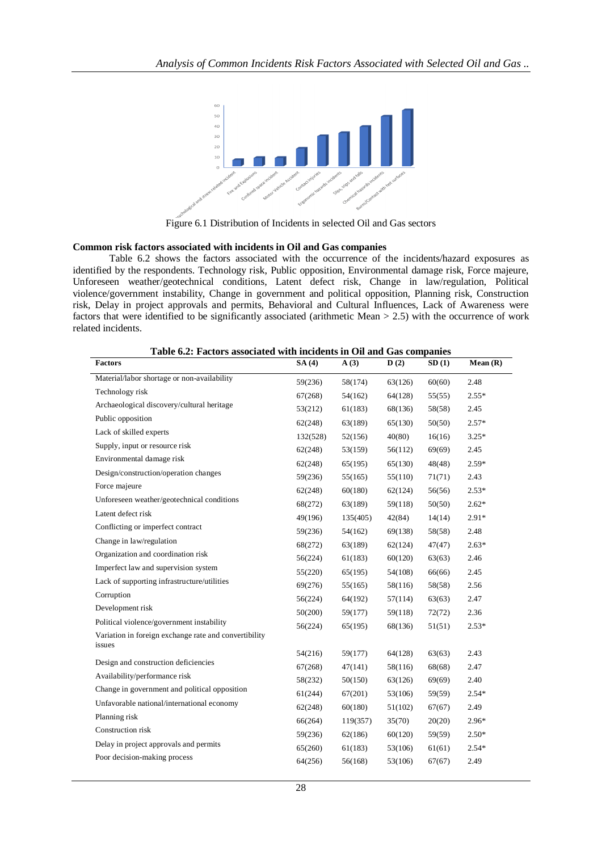

Figure 6.1 Distribution of Incidents in selected Oil and Gas sectors

#### **Common risk factors associated with incidents in Oil and Gas companies**

Table 6.2 shows the factors associated with the occurrence of the incidents/hazard exposures as identified by the respondents. Technology risk, Public opposition, Environmental damage risk, Force majeure, Unforeseen weather/geotechnical conditions, Latent defect risk, Change in law/regulation, Political violence/government instability, Change in government and political opposition, Planning risk, Construction risk, Delay in project approvals and permits, Behavioral and Cultural Influences, Lack of Awareness were factors that were identified to be significantly associated (arithmetic Mean > 2.5) with the occurrence of work related incidents.

| Table 6.2: Factors associated with incidents in Oil and Gas companies |
|-----------------------------------------------------------------------|
|-----------------------------------------------------------------------|

| <b>Factors</b>                                        | SA(4)    | A(3)     | D(2)    | SD(1)  | Mean $(R)$ |
|-------------------------------------------------------|----------|----------|---------|--------|------------|
| Material/labor shortage or non-availability           | 59(236)  | 58(174)  | 63(126) | 60(60) | 2.48       |
| Technology risk                                       | 67(268)  | 54(162)  | 64(128) | 55(55) | $2.55*$    |
| Archaeological discovery/cultural heritage            | 53(212)  | 61(183)  | 68(136) | 58(58) | 2.45       |
| Public opposition                                     | 62(248)  | 63(189)  | 65(130) | 50(50) | $2.57*$    |
| Lack of skilled experts                               | 132(528) | 52(156)  | 40(80)  | 16(16) | $3.25*$    |
| Supply, input or resource risk                        | 62(248)  | 53(159)  | 56(112) | 69(69) | 2.45       |
| Environmental damage risk                             | 62(248)  | 65(195)  | 65(130) | 48(48) | $2.59*$    |
| Design/construction/operation changes                 | 59(236)  | 55(165)  | 55(110) | 71(71) | 2.43       |
| Force majeure                                         | 62(248)  | 60(180)  | 62(124) | 56(56) | $2.53*$    |
| Unforeseen weather/geotechnical conditions            | 68(272)  | 63(189)  | 59(118) | 50(50) | $2.62*$    |
| Latent defect risk                                    | 49(196)  | 135(405) | 42(84)  | 14(14) | $2.91*$    |
| Conflicting or imperfect contract                     | 59(236)  | 54(162)  | 69(138) | 58(58) | 2.48       |
| Change in law/regulation                              | 68(272)  | 63(189)  | 62(124) | 47(47) | $2.63*$    |
| Organization and coordination risk                    | 56(224)  | 61(183)  | 60(120) | 63(63) | 2.46       |
| Imperfect law and supervision system                  | 55(220)  | 65(195)  | 54(108) | 66(66) | 2.45       |
| Lack of supporting infrastructure/utilities           | 69(276)  | 55(165)  | 58(116) | 58(58) | 2.56       |
| Corruption                                            | 56(224)  | 64(192)  | 57(114) | 63(63) | 2.47       |
| Development risk                                      | 50(200)  | 59(177)  | 59(118) | 72(72) | 2.36       |
| Political violence/government instability             | 56(224)  | 65(195)  | 68(136) | 51(51) | $2.53*$    |
| Variation in foreign exchange rate and convertibility |          |          |         |        |            |
| issues                                                | 54(216)  | 59(177)  | 64(128) | 63(63) | 2.43       |
| Design and construction deficiencies                  | 67(268)  | 47(141)  | 58(116) | 68(68) | 2.47       |
| Availability/performance risk                         | 58(232)  | 50(150)  | 63(126) | 69(69) | 2.40       |
| Change in government and political opposition         | 61(244)  | 67(201)  | 53(106) | 59(59) | $2.54*$    |
| Unfavorable national/international economy            | 62(248)  | 60(180)  | 51(102) | 67(67) | 2.49       |
| Planning risk                                         | 66(264)  | 119(357) | 35(70)  | 20(20) | $2.96*$    |
| Construction risk                                     | 59(236)  | 62(186)  | 60(120) | 59(59) | $2.50*$    |
| Delay in project approvals and permits                | 65(260)  | 61(183)  | 53(106) | 61(61) | $2.54*$    |
| Poor decision-making process                          | 64(256)  | 56(168)  | 53(106) | 67(67) | 2.49       |
|                                                       |          |          |         |        |            |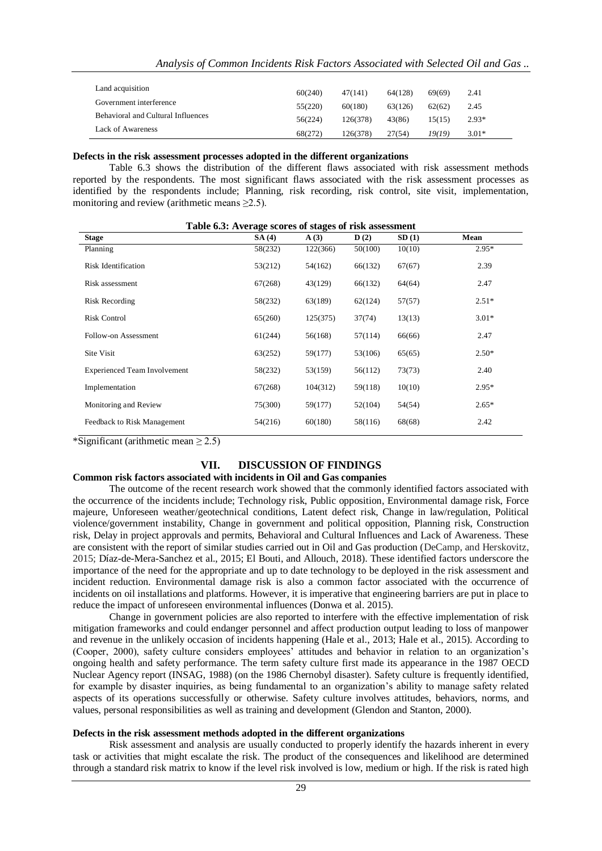| Land acquisition                          | 60(240) | 47(141)  | 64(128) | 69(69) | 2.41    |
|-------------------------------------------|---------|----------|---------|--------|---------|
| Government interference                   | 55(220) | 60(180)  | 63(126) | 62(62) | 2.45    |
|                                           |         |          |         |        |         |
| <b>Behavioral and Cultural Influences</b> | 56(224) | 126(378) | 43(86)  | 15(15) | $2.93*$ |
| Lack of Awareness                         | 68(272) | 126(378) | 27(54)  | 19(19) | $3.01*$ |

#### **Defects in the risk assessment processes adopted in the different organizations**

Table 6.3 shows the distribution of the different flaws associated with risk assessment methods reported by the respondents. The most significant flaws associated with the risk assessment processes as identified by the respondents include; Planning, risk recording, risk control, site visit, implementation, monitoring and review (arithmetic means  $\geq$ 2.5).

| <b>Stage</b>                        | SA(4)   | $\mathbf{A}(3)$ | D(2)    | SD(1)  | Mean    |
|-------------------------------------|---------|-----------------|---------|--------|---------|
| Planning                            | 58(232) | 122(366)        | 50(100) | 10(10) | $2.95*$ |
| <b>Risk Identification</b>          | 53(212) | 54(162)         | 66(132) | 67(67) | 2.39    |
| Risk assessment                     | 67(268) | 43(129)         | 66(132) | 64(64) | 2.47    |
| <b>Risk Recording</b>               | 58(232) | 63(189)         | 62(124) | 57(57) | $2.51*$ |
| <b>Risk Control</b>                 | 65(260) | 125(375)        | 37(74)  | 13(13) | $3.01*$ |
| Follow-on Assessment                | 61(244) | 56(168)         | 57(114) | 66(66) | 2.47    |
| Site Visit                          | 63(252) | 59(177)         | 53(106) | 65(65) | $2.50*$ |
| <b>Experienced Team Involvement</b> | 58(232) | 53(159)         | 56(112) | 73(73) | 2.40    |
| Implementation                      | 67(268) | 104(312)        | 59(118) | 10(10) | $2.95*$ |
| Monitoring and Review               | 75(300) | 59(177)         | 52(104) | 54(54) | $2.65*$ |
| Feedback to Risk Management         | 54(216) | 60(180)         | 58(116) | 68(68) | 2.42    |

#### **Table 6.3: Average scores of stages of risk assessment**

\*Significant (arithmetic mean  $\geq$  2.5)

#### **VII. DISCUSSION OF FINDINGS**

#### **Common risk factors associated with incidents in Oil and Gas companies**

The outcome of the recent research work showed that the commonly identified factors associated with the occurrence of the incidents include; Technology risk, Public opposition, Environmental damage risk, Force majeure, Unforeseen weather/geotechnical conditions, Latent defect risk, Change in law/regulation, Political violence/government instability, Change in government and political opposition, Planning risk, Construction risk, Delay in project approvals and permits, Behavioral and Cultural Influences and Lack of Awareness. These are consistent with the report of similar studies carried out in Oil and Gas production (DeCamp, and Herskovitz, 2015; Díaz-de-Mera-Sanchez et al., 2015; El Bouti, and Allouch, 2018). These identified factors underscore the importance of the need for the appropriate and up to date technology to be deployed in the risk assessment and incident reduction. Environmental damage risk is also a common factor associated with the occurrence of incidents on oil installations and platforms. However, it is imperative that engineering barriers are put in place to reduce the impact of unforeseen environmental influences (Donwa et al. 2015).

Change in government policies are also reported to interfere with the effective implementation of risk mitigation frameworks and could endanger personnel and affect production output leading to loss of manpower and revenue in the unlikely occasion of incidents happening (Hale et al., 2013; Hale et al., 2015). According to (Cooper, 2000), safety culture considers employees' attitudes and behavior in relation to an organization's ongoing health and safety performance. The term safety culture first made its appearance in the 1987 OECD Nuclear Agency report (INSAG, 1988) (on the 1986 Chernobyl disaster). Safety culture is frequently identified, for example by disaster inquiries, as being fundamental to an organization's ability to manage safety related aspects of its operations successfully or otherwise. Safety culture involves attitudes, behaviors, norms, and values, personal responsibilities as well as training and development (Glendon and Stanton, 2000).

#### **Defects in the risk assessment methods adopted in the different organizations**

Risk assessment and analysis are usually conducted to properly identify the hazards inherent in every task or activities that might escalate the risk. The product of the consequences and likelihood are determined through a standard risk matrix to know if the level risk involved is low, medium or high. If the risk is rated high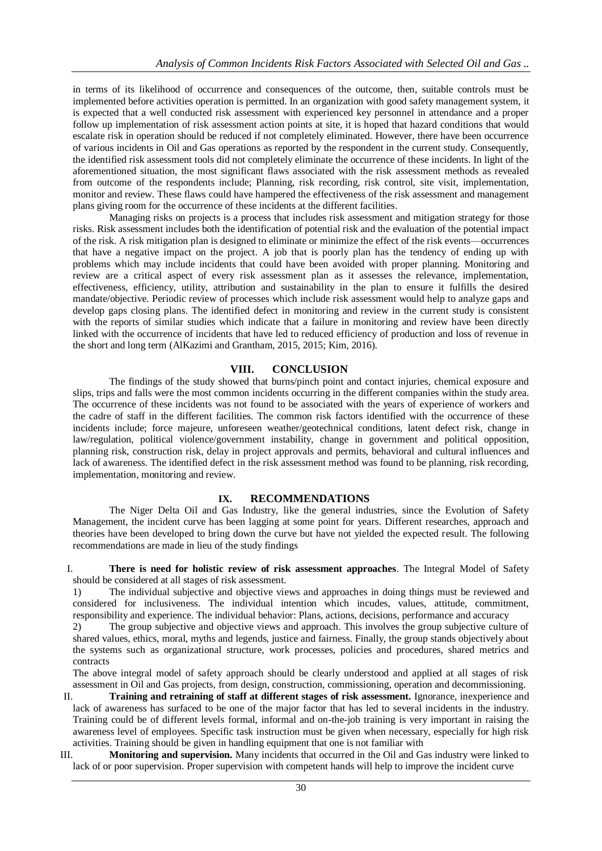in terms of its likelihood of occurrence and consequences of the outcome, then, suitable controls must be implemented before activities operation is permitted. In an organization with good safety management system, it is expected that a well conducted risk assessment with experienced key personnel in attendance and a proper follow up implementation of risk assessment action points at site, it is hoped that hazard conditions that would escalate risk in operation should be reduced if not completely eliminated. However, there have been occurrence of various incidents in Oil and Gas operations as reported by the respondent in the current study. Consequently, the identified risk assessment tools did not completely eliminate the occurrence of these incidents. In light of the aforementioned situation, the most significant flaws associated with the risk assessment methods as revealed from outcome of the respondents include; Planning, risk recording, risk control, site visit, implementation, monitor and review. These flaws could have hampered the effectiveness of the risk assessment and management plans giving room for the occurrence of these incidents at the different facilities.

Managing risks on projects is a process that includes risk assessment and mitigation strategy for those risks. Risk assessment includes both the identification of potential risk and the evaluation of the potential impact of the risk. A risk mitigation plan is designed to eliminate or minimize the effect of the risk events—occurrences that have a negative impact on the project. A job that is poorly plan has the tendency of ending up with problems which may include incidents that could have been avoided with proper planning. Monitoring and review are a critical aspect of every risk assessment plan as it assesses the relevance, implementation, effectiveness, efficiency, utility, attribution and sustainability in the plan to ensure it fulfills the desired mandate/objective. Periodic review of processes which include risk assessment would help to analyze gaps and develop gaps closing plans. The identified defect in monitoring and review in the current study is consistent with the reports of similar studies which indicate that a failure in monitoring and review have been directly linked with the occurrence of incidents that have led to reduced efficiency of production and loss of revenue in the short and long term (AlKazimi and Grantham, 2015, 2015; Kim, 2016).

#### **VIII. CONCLUSION**

The findings of the study showed that burns/pinch point and contact injuries, chemical exposure and slips, trips and falls were the most common incidents occurring in the different companies within the study area. The occurrence of these incidents was not found to be associated with the years of experience of workers and the cadre of staff in the different facilities. The common risk factors identified with the occurrence of these incidents include; force majeure, unforeseen weather/geotechnical conditions, latent defect risk, change in law/regulation, political violence/government instability, change in government and political opposition, planning risk, construction risk, delay in project approvals and permits, behavioral and cultural influences and lack of awareness. The identified defect in the risk assessment method was found to be planning, risk recording, implementation, monitoring and review.

#### **IX. RECOMMENDATIONS**

The Niger Delta Oil and Gas Industry, like the general industries, since the Evolution of Safety Management, the incident curve has been lagging at some point for years. Different researches, approach and theories have been developed to bring down the curve but have not yielded the expected result. The following recommendations are made in lieu of the study findings

I. **There is need for holistic review of risk assessment approaches**. The Integral Model of Safety should be considered at all stages of risk assessment.

1) The individual subjective and objective views and approaches in doing things must be reviewed and considered for inclusiveness. The individual intention which incudes, values, attitude, commitment, responsibility and experience. The individual behavior: Plans, actions, decisions, performance and accuracy

2) The group subjective and objective views and approach. This involves the group subjective culture of shared values, ethics, moral, myths and legends, justice and fairness. Finally, the group stands objectively about the systems such as organizational structure, work processes, policies and procedures, shared metrics and contracts

The above integral model of safety approach should be clearly understood and applied at all stages of risk assessment in Oil and Gas projects, from design, construction, commissioning, operation and decommissioning.

II. **Training and retraining of staff at different stages of risk assessment.** Ignorance, inexperience and lack of awareness has surfaced to be one of the major factor that has led to several incidents in the industry. Training could be of different levels formal, informal and on-the-job training is very important in raising the awareness level of employees. Specific task instruction must be given when necessary, especially for high risk activities. Training should be given in handling equipment that one is not familiar with

III. **Monitoring and supervision.** Many incidents that occurred in the Oil and Gas industry were linked to lack of or poor supervision. Proper supervision with competent hands will help to improve the incident curve